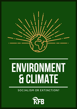

# **ENVIRONMENT & CLIMATE**

SOCIALISM OR EXTINCTION?

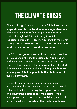### **THECLIMATECRISIS**

Climate change (often simplified as " global warming ") is a symptom of the destruction of ecological systems which control the Earth' s atmosphere and absorb carbon through soil. With soil losing its ability to sequester carbon, the overall temperature of the planet is rising, causing temperature extremes (both hot and cold) and disruption of weather patterns.

The 20 hottest years on record have occurred over the last 22 years, and natural disasters such as droughts and hurricanes continue to increase in frequency and intensity. The Ecological Threat Register has estimated that disasters induced by climate change could force as many as 1.2 billion people to flee their homes in the next 30 years.

Scientists and researchers continue to produce evidence that this ecological crisis will cause societal collapse. In spite of this, capitalist governments are still driving the destruction of the planet. We are hurtling towards a total climate breakdown, which will devastate all life. The fate of the world is up to us.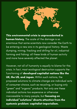

This environmental crisis is unprecedented in **human history.** The scale of the damage is so enormous that some scientists now consider the Earth to be entering a new era in its geological history. Waste dumping, mining, fracking and drilling for oil, industrial farming and fishing: all these kinds of human activity and more have severely affected the planet.

However, not all of humanity is equally to blame for this crisis. In fact, most ecological destruction supports the functioning of developed capitalist nations like the UK, the US, and Japan. Within such nations, the proposed solutions to climate change are individual acts of consumer choice, such as recycling, or buying only " green " and " organic " products. Not only are these individual actions too expensive or otherwise inaccessible to many people, but focusing on individual " solutions " diverts attention from the systemic problem: capitalist-imperialism.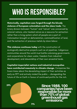## **WHOIS RESPONSIBLE?**

Historically, capitalism was forged through the bloody violence of European colonialism and the slave trade. The

binary division between "human" and "nature" was conceived by colonial nations, who treated nature as a resource for extraction rather than a living system which all people are a part of. Colonisation brought on deforestation, commodification of land, and the extraction of precious metals by slave labour.

This violence continues today with the construction of ecologically destructive projects such as oil pipelines. Indigenous communities around the world must battle colonising governments and corporations for clean water, freedom from industrial development, and stewardship of their own ancestral lands.

Capitalist-imperialist nations and industrial monopolies have contributed massively to climate change. Companies like Exxon knew about the devastating impact of their activities as early as 1977 and actively misled the public — disregarding the future of life on Earth in favour of continued profits for the rich.



29% Since1988,100 companieshavebeen responsible for more than70%ofglobal nam*r* o*x* or groba<br>greenhouse gas emissions.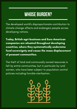### **WHOSE BURDEN?**

The developed world' s disproportionate contribution to climate change affects and endangers people across developing nations.

Today, British agri-business and Euro-American companies are situated throughout developing countries, where they systematically undermine food sovereignty and cause the mass displacement of peasant communities.

The theft of land and communally owned resources is felt by entire communities, but in particular by rural women, who have been subject to population control policies including forcible sterilisation.

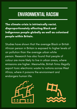### **ENVIRONMENTAL RACISM**

The climate crisis is intrinsically racist, disproportionately affecting Black and Indigenous people globally as well as colonised people within Britain.

Studies have shown that the average Black or British African person in Britain is exposed to higher levels of air pollution than the average urban white person. Research has also found that people of colour are more likely to live in urban areas, where emissions are higher. Meanwhile, British firms illegally export toxic electronic waste to nations across West Africa, where it poisons the environment and endangers human life.



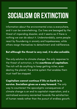## **SOCIALISM OR EXTINCTION**

Information about the environmental crisis is everywhere, and it can be overwhelming. Our lives are besieged by the threat of impending disaster, and it seems as if there is nothing we can do about it. Understandably, some people react by floundering in anxiety and hopelessness, while others resign themselves to detachment and indifference.

#### But although the threat is very real, it is also solvable.

The only solution to climate change, the only response to the threat of extinction, is the overthrow of capitalism. The rich will do anything to keep getting richer, even destroy the planet; the entire system that enables them must itself be stopped.

Capitalism cannot continue if life on Earth is to survive. Socialism gives us a way forward. The only way to counteract the apocalyptic consequences of climate change is an end to capitalist-imperialism, and a centralised economy reoriented towards the satisfaction of human needs rather than the pursuit of endless growth.